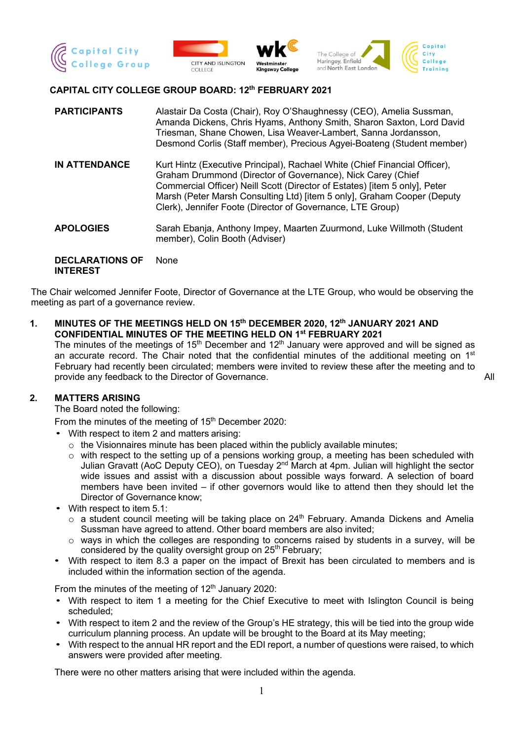



#### **CAPITAL CITY COLLEGE GROUP BOARD: 12th FEBRUARY 2021**

| <b>PARTICIPANTS</b>                       | Alastair Da Costa (Chair), Roy O'Shaughnessy (CEO), Amelia Sussman,<br>Amanda Dickens, Chris Hyams, Anthony Smith, Sharon Saxton, Lord David<br>Triesman, Shane Chowen, Lisa Weaver-Lambert, Sanna Jordansson,<br>Desmond Corlis (Staff member), Precious Agyei-Boateng (Student member)                                                                         |
|-------------------------------------------|------------------------------------------------------------------------------------------------------------------------------------------------------------------------------------------------------------------------------------------------------------------------------------------------------------------------------------------------------------------|
| <b>IN ATTENDANCE</b>                      | Kurt Hintz (Executive Principal), Rachael White (Chief Financial Officer),<br>Graham Drummond (Director of Governance), Nick Carey (Chief<br>Commercial Officer) Neill Scott (Director of Estates) [item 5 only], Peter<br>Marsh (Peter Marsh Consulting Ltd) [item 5 only], Graham Cooper (Deputy<br>Clerk), Jennifer Foote (Director of Governance, LTE Group) |
| <b>APOLOGIES</b>                          | Sarah Ebanja, Anthony Impey, Maarten Zuurmond, Luke Willmoth (Student<br>member), Colin Booth (Adviser)                                                                                                                                                                                                                                                          |
| <b>DECLARATIONS OF</b><br><b>INTEREST</b> | None                                                                                                                                                                                                                                                                                                                                                             |

The Chair welcomed Jennifer Foote, Director of Governance at the LTE Group, who would be observing the meeting as part of a governance review.

**1. MINUTES OF THE MEETINGS HELD ON 15th DECEMBER 2020, 12th JANUARY 2021 AND CONFIDENTIAL MINUTES OF THE MEETING HELD ON 1st FEBRUARY 2021**

The minutes of the meetings of  $15<sup>th</sup>$  December and  $12<sup>th</sup>$  January were approved and will be signed as an accurate record. The Chair noted that the confidential minutes of the additional meeting on  $1<sup>st</sup>$ February had recently been circulated; members were invited to review these after the meeting and to provide any feedback to the Director of Governance. All the state of the state of the Director of Governance.

#### **2. MATTERS ARISING**

The Board noted the following:

From the minutes of the meeting of 15<sup>th</sup> December 2020:

- With respect to item 2 and matters arising:
	- o the Visionnaires minute has been placed within the publicly available minutes;
	- o with respect to the setting up of a pensions working group, a meeting has been scheduled with Julian Gravatt (AoC Deputy CEO), on Tuesday 2<sup>nd</sup> March at 4pm. Julian will highlight the sector wide issues and assist with a discussion about possible ways forward. A selection of board members have been invited – if other governors would like to attend then they should let the Director of Governance know;
- With respect to item 5.1:
	- $\circ$  a student council meeting will be taking place on 24<sup>th</sup> February. Amanda Dickens and Amelia Sussman have agreed to attend. Other board members are also invited;
	- $\circ$  ways in which the colleges are responding to concerns raised by students in a survey, will be considered by the quality oversight group on 25<sup>th</sup> February;
- With respect to item 8.3 a paper on the impact of Brexit has been circulated to members and is included within the information section of the agenda.

From the minutes of the meeting of  $12<sup>th</sup>$  January 2020:

- With respect to item 1 a meeting for the Chief Executive to meet with Islington Council is being scheduled;
- With respect to item 2 and the review of the Group's HE strategy, this will be tied into the group wide curriculum planning process. An update will be brought to the Board at its May meeting;
- With respect to the annual HR report and the EDI report, a number of questions were raised, to which answers were provided after meeting.

There were no other matters arising that were included within the agenda.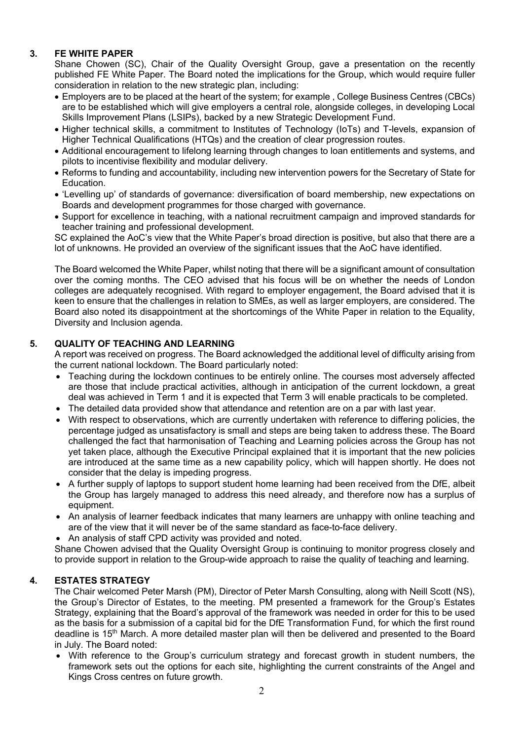## **3. FE WHITE PAPER**

Shane Chowen (SC), Chair of the Quality Oversight Group, gave a presentation on the recently published FE White Paper. The Board noted the implications for the Group, which would require fuller consideration in relation to the new strategic plan, including:

- Employers are to be placed at the heart of the system; for example , College Business Centres (CBCs) are to be established which will give employers a central role, alongside colleges, in developing Local Skills Improvement Plans (LSIPs), backed by a new Strategic Development Fund.
- Higher technical skills, a commitment to Institutes of Technology (IoTs) and T-levels, expansion of Higher Technical Qualifications (HTQs) and the creation of clear progression routes.
- Additional encouragement to lifelong learning through changes to loan entitlements and systems, and pilots to incentivise flexibility and modular delivery.
- Reforms to funding and accountability, including new intervention powers for the Secretary of State for Education.
- 'Levelling up' of standards of governance: diversification of board membership, new expectations on Boards and development programmes for those charged with governance.
- Support for excellence in teaching, with a national recruitment campaign and improved standards for teacher training and professional development.

SC explained the AoC's view that the White Paper's broad direction is positive, but also that there are a lot of unknowns. He provided an overview of the significant issues that the AoC have identified.

The Board welcomed the White Paper, whilst noting that there will be a significant amount of consultation over the coming months. The CEO advised that his focus will be on whether the needs of London colleges are adequately recognised. With regard to employer engagement, the Board advised that it is keen to ensure that the challenges in relation to SMEs, as well as larger employers, are considered. The Board also noted its disappointment at the shortcomings of the White Paper in relation to the Equality, Diversity and Inclusion agenda.

### **5. QUALITY OF TEACHING AND LEARNING**

A report was received on progress. The Board acknowledged the additional level of difficulty arising from the current national lockdown. The Board particularly noted:

- Teaching during the lockdown continues to be entirely online. The courses most adversely affected are those that include practical activities, although in anticipation of the current lockdown, a great deal was achieved in Term 1 and it is expected that Term 3 will enable practicals to be completed.
- The detailed data provided show that attendance and retention are on a par with last year.
- With respect to observations, which are currently undertaken with reference to differing policies, the percentage judged as unsatisfactory is small and steps are being taken to address these. The Board challenged the fact that harmonisation of Teaching and Learning policies across the Group has not yet taken place, although the Executive Principal explained that it is important that the new policies are introduced at the same time as a new capability policy, which will happen shortly. He does not consider that the delay is impeding progress.
- A further supply of laptops to support student home learning had been received from the DfE, albeit the Group has largely managed to address this need already, and therefore now has a surplus of equipment.
- An analysis of learner feedback indicates that many learners are unhappy with online teaching and are of the view that it will never be of the same standard as face-to-face delivery.
- An analysis of staff CPD activity was provided and noted.

Shane Chowen advised that the Quality Oversight Group is continuing to monitor progress closely and to provide support in relation to the Group-wide approach to raise the quality of teaching and learning.

### **4. ESTATES STRATEGY**

The Chair welcomed Peter Marsh (PM), Director of Peter Marsh Consulting, along with Neill Scott (NS), the Group's Director of Estates, to the meeting. PM presented a framework for the Group's Estates Strategy, explaining that the Board's approval of the framework was needed in order for this to be used as the basis for a submission of a capital bid for the DfE Transformation Fund, for which the first round deadline is 15<sup>th</sup> March. A more detailed master plan will then be delivered and presented to the Board in July. The Board noted:

• With reference to the Group's curriculum strategy and forecast growth in student numbers, the framework sets out the options for each site, highlighting the current constraints of the Angel and Kings Cross centres on future growth.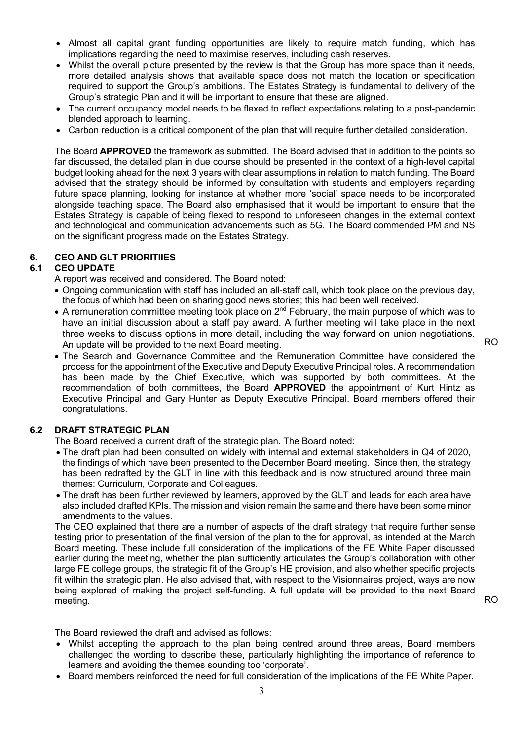- Almost all capital grant funding opportunities are likely to require match funding, which has implications regarding the need to maximise reserves, including cash reserves.
- Whilst the overall picture presented by the review is that the Group has more space than it needs, more detailed analysis shows that available space does not match the location or specification required to support the Group's ambitions. The Estates Strategy is fundamental to delivery of the Group's strategic Plan and it will be important to ensure that these are aligned.
- The current occupancy model needs to be flexed to reflect expectations relating to a post-pandemic blended approach to learning.
- Carbon reduction is a critical component of the plan that will require further detailed consideration.

The Board **APPROVED** the framework as submitted. The Board advised that in addition to the points so far discussed, the detailed plan in due course should be presented in the context of a high-level capital budget looking ahead for the next 3 years with clear assumptions in relation to match funding. The Board advised that the strategy should be informed by consultation with students and employers regarding future space planning, looking for instance at whether more 'social' space needs to be incorporated alongside teaching space. The Board also emphasised that it would be important to ensure that the Estates Strategy is capable of being flexed to respond to unforeseen changes in the external context and technological and communication advancements such as 5G. The Board commended PM and NS on the significant progress made on the Estates Strategy.

### **6. CEO AND GLT PRIORITIIES**

#### **6.1 CEO UPDATE**

A report was received and considered. The Board noted:

- Ongoing communication with staff has included an all-staff call, which took place on the previous day, the focus of which had been on sharing good news stories; this had been well received.
- A remuneration committee meeting took place on  $2^{nd}$  February, the main purpose of which was to have an initial discussion about a staff pay award. A further meeting will take place in the next three weeks to discuss options in more detail, including the way forward on union negotiations. An update will be provided to the next Board meeting.

RO

• The Search and Governance Committee and the Remuneration Committee have considered the process for the appointment of the Executive and Deputy Executive Principal roles. A recommendation has been made by the Chief Executive, which was supported by both committees. At the recommendation of both committees, the Board **APPROVED** the appointment of Kurt Hintz as Executive Principal and Gary Hunter as Deputy Executive Principal. Board members offered their congratulations.

### **6.2 DRAFT STRATEGIC PLAN**

The Board received a current draft of the strategic plan. The Board noted:

- The draft plan had been consulted on widely with internal and external stakeholders in Q4 of 2020, the findings of which have been presented to the December Board meeting. Since then, the strategy has been redrafted by the GLT in line with this feedback and is now structured around three main themes: Curriculum, Corporate and Colleagues.
- The draft has been further reviewed by learners, approved by the GLT and leads for each area have also included drafted KPIs. The mission and vision remain the same and there have been some minor amendments to the values.

The CEO explained that there are a number of aspects of the draft strategy that require further sense testing prior to presentation of the final version of the plan to the for approval, as intended at the March Board meeting. These include full consideration of the implications of the FE White Paper discussed earlier during the meeting, whether the plan sufficiently articulates the Group's collaboration with other large FE college groups, the strategic fit of the Group's HE provision, and also whether specific projects fit within the strategic plan. He also advised that, with respect to the Visionnaires project, ways are now being explored of making the project self-funding. A full update will be provided to the next Board meeting.

The Board reviewed the draft and advised as follows:

- Whilst accepting the approach to the plan being centred around three areas, Board members challenged the wording to describe these, particularly highlighting the importance of reference to learners and avoiding the themes sounding too 'corporate'.
- Board members reinforced the need for full consideration of the implications of the FE White Paper.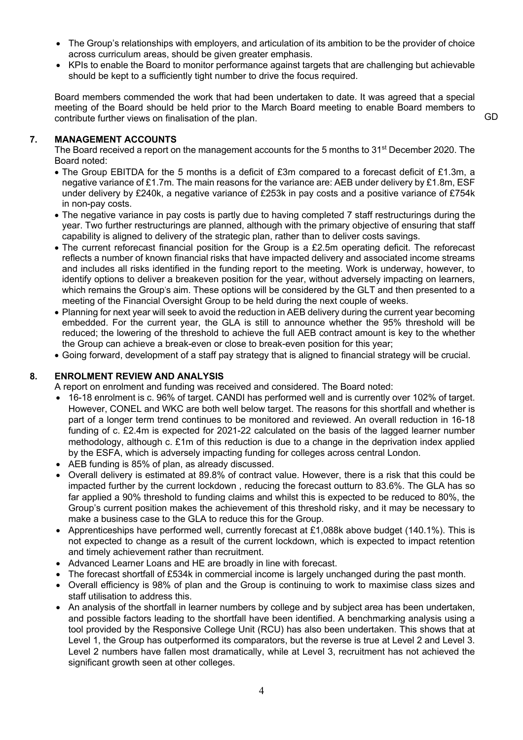- The Group's relationships with employers, and articulation of its ambition to be the provider of choice across curriculum areas, should be given greater emphasis.
- KPIs to enable the Board to monitor performance against targets that are challenging but achievable should be kept to a sufficiently tight number to drive the focus required.

Board members commended the work that had been undertaken to date. It was agreed that a special meeting of the Board should be held prior to the March Board meeting to enable Board members to contribute further views on finalisation of the plan.

#### **7. MANAGEMENT ACCOUNTS**

The Board received a report on the management accounts for the 5 months to 31<sup>st</sup> December 2020. The Board noted:

- The Group EBITDA for the 5 months is a deficit of £3m compared to a forecast deficit of £1.3m, a negative variance of £1.7m. The main reasons for the variance are: AEB under delivery by £1.8m, ESF under delivery by £240k, a negative variance of £253k in pay costs and a positive variance of £754k in non-pay costs.
- The negative variance in pay costs is partly due to having completed 7 staff restructurings during the year. Two further restructurings are planned, although with the primary objective of ensuring that staff capability is aligned to delivery of the strategic plan, rather than to deliver costs savings.
- The current reforecast financial position for the Group is a £2.5m operating deficit. The reforecast reflects a number of known financial risks that have impacted delivery and associated income streams and includes all risks identified in the funding report to the meeting. Work is underway, however, to identify options to deliver a breakeven position for the year, without adversely impacting on learners, which remains the Group's aim. These options will be considered by the GLT and then presented to a meeting of the Financial Oversight Group to be held during the next couple of weeks.
- Planning for next year will seek to avoid the reduction in AEB delivery during the current year becoming embedded. For the current year, the GLA is still to announce whether the 95% threshold will be reduced; the lowering of the threshold to achieve the full AEB contract amount is key to the whether the Group can achieve a break-even or close to break-even position for this year;
- Going forward, development of a staff pay strategy that is aligned to financial strategy will be crucial.

#### **8. ENROLMENT REVIEW AND ANALYSIS**

A report on enrolment and funding was received and considered. The Board noted:

- 16-18 enrolment is c. 96% of target. CANDI has performed well and is currently over 102% of target. However, CONEL and WKC are both well below target. The reasons for this shortfall and whether is part of a longer term trend continues to be monitored and reviewed. An overall reduction in 16-18 funding of c. £2.4m is expected for 2021-22 calculated on the basis of the lagged learner number methodology, although c. £1m of this reduction is due to a change in the deprivation index applied by the ESFA, which is adversely impacting funding for colleges across central London.
- AEB funding is 85% of plan, as already discussed.
- Overall delivery is estimated at 89.8% of contract value. However, there is a risk that this could be impacted further by the current lockdown , reducing the forecast outturn to 83.6%. The GLA has so far applied a 90% threshold to funding claims and whilst this is expected to be reduced to 80%, the Group's current position makes the achievement of this threshold risky, and it may be necessary to make a business case to the GLA to reduce this for the Group.
- Apprenticeships have performed well, currently forecast at £1,088k above budget (140.1%). This is not expected to change as a result of the current lockdown, which is expected to impact retention and timely achievement rather than recruitment.
- Advanced Learner Loans and HE are broadly in line with forecast.
- The forecast shortfall of £534k in commercial income is largely unchanged during the past month.
- Overall efficiency is 98% of plan and the Group is continuing to work to maximise class sizes and staff utilisation to address this.
- An analysis of the shortfall in learner numbers by college and by subject area has been undertaken, and possible factors leading to the shortfall have been identified. A benchmarking analysis using a tool provided by the Responsive College Unit (RCU) has also been undertaken. This shows that at Level 1, the Group has outperformed its comparators, but the reverse is true at Level 2 and Level 3. Level 2 numbers have fallen most dramatically, while at Level 3, recruitment has not achieved the significant growth seen at other colleges.